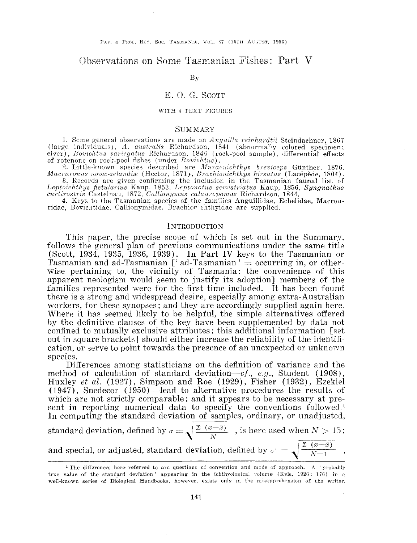# Observations on Some Tasmanian Fishes: Part V

By

# E. 0. G. SCOTT

#### WITH 4 TEXT FIGURES

## SUMMARY

1. Some general observations are made on *Anguilla reinhardtii* Steindachner, 1867 (large individuals), A. australis Richardson, 1841 (abnormally colored specimen; elver), *Bovichtus variegatus* Richardson, 1846 (rock-pool sample), differential effects of rotenone on rock-pool fishes (under *Bovichtus*).

2. Little-known species described are *Muraenichthys breviceps* Günther, 1876, *Macruronus novæ-zelandiæ* (Hector, 1871), *Brachionichthys hirsutus* (Lacépède, 1804).

3. Records are given confirming the inclusion in the Tasmanian faunal list of *oichthys fistularius* Kaup, 1853, *Leptonotus semistriatus* Kaup, 1856, *Syngnathus* curtirostris Castelnau, 1872, *Callionymus calauropomus Richardson*, 1844.

4. Keys to the Tasmanian species of the families Anguillidae, Echelidae, Macrouridae, Bovichtidae, Callionymidae, Brachioniehthyidae are supplied.

#### INTRODUCTION

This paper, the precise scope of which is set out in the Summary, follows the general plan of previous communications under the same title (Scott, 1934, 1935, 1936, 1939). In Part IV keys to the Tasmanian or Tasmanian and ad-Tasmanian ['ad-Tasmanian'  $=$  occurring in, or otherwise pertaining to, the vicinity of Tasmania: the convenience of this apparent neologism would seem to justify its adoption] members of the families represented were for the first time included. It has been found there is a strong and widespread desire, especially among extra-Australian workers, for these synopses; and they are accordingly supplied again here. Where it has seemed likely to be helpful, the simple alternatives offered by the definitive clauses of the key have been supplemented by data not confined to mutually exclusive attributes: this additional information [set out in square brackets] should either increase the reliability of the identification, or serve to point towards the presence of an unexpected or unknown species.

Differences among statisticians on the definition of variance and the method of calculation of standard deviation—cf., e.g., Student (1908), Huxley *et al.* (1927), Simpson and Roe (1929), Fisher (1932), Ezekiel (1947), Snedecor (1950)-lead to alternative procedures the results of which are not strictly comparable; and it appears to be necessary at present in reporting numerical data to specify the conventions followed.' In computing the standard deviation of samples, ordinary, or unadjusted,

standard deviation, defined by  $\sigma=\sqrt{\frac{2(x-\bar{z})}{N}}$ , is here used when  $N > 15$ ; and special, or adjusted, standard deviation, defined by  $\sigma = \sqrt{\frac{2(x-\bar{x})}{N-1}}$ ,

<sup>&</sup>lt;sup>1</sup> The differences here referred to are questions of convention and mode of approach. A ' probably true value of the standard deviation  $\prime$  appearing in the ichthyological volume (Kyle, 1926: 176) in a well-known series of Biological Handbooks, however, exists only in the misapprehension of the writer.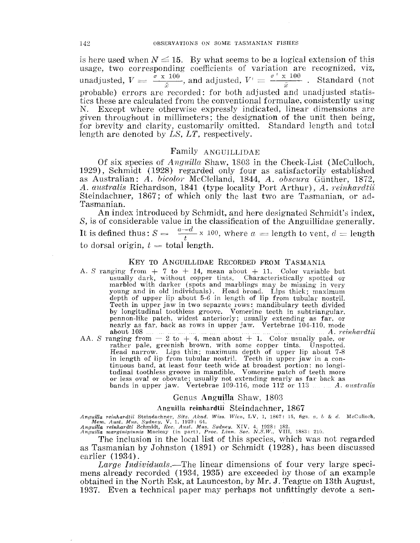is here used when  $N \leq 15$ . By what seems to be a logical extension of this usage, two corresponding coefficients of variation are recognized, viz, unadjusted,  $V = \frac{\dot{\sigma} \times 100}{\bar{x}}$ , and adjusted,  $V' = \frac{\sigma' \times 100}{\bar{x}}$ . Standard (not probable) errors are recorded: for both adjusted and unadjusted statistics these are calculated from the conventional formulae, consistently N. Except where otherwise expressly indicated, linear dimensions are given throughout in millimeters; the designation of the unit then for brevity and clarity, customarily omitted. Standard length and total length are denoted by *LS, LT,* respectively.

# Family ANGUILLIDAE

Of six species of *Anguilla* Shaw, 1803 in the Check-List (McCulloch, 1929), Schmidt ( 1928) regarded only four as satisfactorily as Australian: *A. bicolor* McClelland, 1844, *A. obscura* Günther, A. australis Richardson, 1841 (type locality Port Arthur), A. *reinhardtii* Steindachner, 1867; of which only the last two are Tasmanian, or ad-Tasmanian.

An index introduced by Schmidt, and here designated Schmidt's index, S, is of considerable value in the classification of the Anguillidae generally. It is defined thus:  $S = \frac{a-d}{t} \times 100$ , where  $a = \text{length}$  to vent,  $d = \text{length}$ to dorsal origin,  $t =$  total length.

#### KEY TO ANGUILLIDAE RECORDED FROM TASMANIA

- A. *S* ranging from  $+7$  to  $+14$ , mean about  $+11$ . Color variable but usually dark, without copper tints. Characteristically spotted or marbled with darker (spots and marblings may be missing in very young and in old individuals). Head broad. Lips thick; maximum depth of upper lip about 5-6 in length of lip from tubular nostriL Teeth in upper jaw in two separate rows: mandibulary teeth divided by longitudinal toothless groove. Vomerine teeth in subtriangular, pennon-like patch, widest anteriorly; usually extending as far, or nearly as far, back as rows in upper jaw, Vertebrae 104-110, mode
- AA. *S* ranging from  $-2$  to  $+4$ , mean about  $+1$ . Color usually pale, or rather pale, greenish brown, with some copper tints. Unspotted. Head narrow. Lips thin; maximum depth of upper lip about 7-8 in length of lip from tubular nostril. Teeth in upper jaw in a con- tinuous band, at least four teeth wide at broadest portion: no longitudinal toothless groove in mandible. Vomerine patch of teeth more or less oval or obovate; usually not extending nearly as far back as bands in upper jaw. Vertebrae 109-116, mode 112 or 113 *.... ....* A. *d*

#### Genus Anguilla Shaw, 1803

## Anguilla reinhardtii Steindachner, 1867

*An.yuilla reinhardtii Steindachner, Sitz. Akad. Wiss. Wien, LV, 1, 1867: 15, figs. a, b & d. McCulloch, Mem. Aust. Mus. Sydney, V, 1, 1929: 64.* 

*reinhardti Schmidt, Rec. Aust. Mus. Sydney, XIV, 4, 1928: 182. marginipinnis Macleay (in part), Proc. Linn. Soc. N.S.W., VIII,* 

The inclusion in the local list of this species, which was not regarded as Tasmanian by Johnston (1891) or Schmidt (1928), has been discussed earlier (1934).

*Large Individuals.*—The linear dimensions of four very large specimens already recorded (1934, 1935) are exceeded by those of an example obtained in the North Esk, at Launceston, by Mr. J. Teague on 13th August, 1937. Even a technical paper may perhaps not unfittingly devote a sen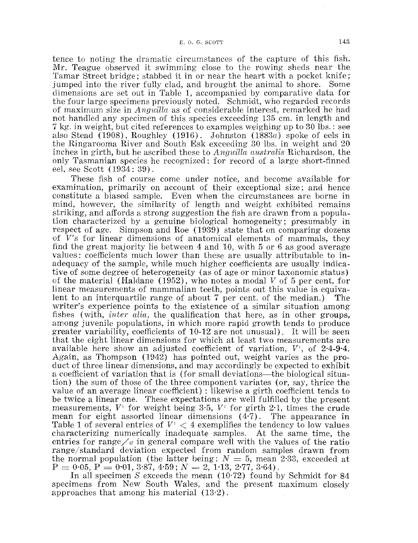tence to noting the dramatic circumstances of the capture of this fish. Mr. Teague observed it swimming close to the rowing sheds near the Tamar Street bridge; stabbed it in or near the heart with a pocket knife; jumped into the river fully dad, and brought the animal to shore. Some dimensions are set out in Table 1, aceompanied by comparative data for the four large specimens previously noted. Sehmidt, who regarded records of maximum size in *Anguilla.* as of considerable interest, remarked he had not handled any specimen of this speeies exceeding 135 em. in length and 7 kg. in weight, but eited referenees to examples weighing up to 30 lbs.: see also Stead (1908), Roughley (1916). Johnston (1883 $a$ ) spoke of eels in the Ringarooma River and South Esk exeeeding 30 lbs. in weight and 20 inches in girth, but he ascribed these to *Anguilla austral'is* Richardson, the only Tasmanian species he recognized: for record of a large short-finned eel, see Scott (1934: 39).

These fish of course come under notice, and become available for examination, primarily on account of their exeeptional size; and hence constitute a biased sample. Even when the circumstances are borne in mind, however, the similarity of length and weight exhibited remains striking, and affords a strong suggestion the fish are drawn from a population characterized by a genuine biological homogeneity; presumably in respect of age. Simpson and Roe (1939) state that on comparing dozens of *V's* for linear dimensions of anatomical elements of mammals, they find the great majority lie between 4 and 10, with 5 or 6 as good average values: coefficients much lower than these are usually attributable to inadequacy of the sample, while much higher coefficients are usually indicative of some degree of heterogeneity (as of age or minor taxonomic status) of the material (Haldane (1952), who notes a modal V of 5 per cent. for linear measurements of mammalian teeth, points out this value is equivalent to an interquartile range of about 7 per cent. of the median.) The writer's experience points to the existence of a similar situation among fishes (with, *inter alia,* the qualification that here, as in other groups, among juvenile populations, in which more rapid growth tends to produce greater variability, coefficients of 10-12 are not unusual). It will be seen that the eight linear dimensions for which at least two measurements are available here show an adjusted coefficient of variation,  $V^1$ , of  $2.4-9.4$ . Again, as Thompson (1942) has pointed out, weight varies as the product of three linear dimensions, and may accordingly be expected to exhibit a coefficient of variation that is (for small deviations—the biological situation) the sum of those of the three component variates (or, say, thrice the value of an average linear coefficient) : likewise a girth coefficient tends to be twice a linear one. These expectations are well fulfilled by the present measurements,  $V^{\dagger}$  for weight being 3.5,  $V^{\dagger}$  for girth 2.1, times the crude mean for eight assorted linear dimensions  $(4.7)$ . The appearance in Table 1 of several entries of  $V' < 4$  exemplifies the tendency to low values characterizing numerically inadequate samples. At the same time, the entries for range  $\sqrt{\sigma}$  in general compare well with the values of the ratio range/standard deviation expected from random samples drawn from the normal population (the latter being:  $N = 5$ , mean 2.33, exceeded at  $P = 0.05, P = 0.01, 3.87, 4.59; N = 2, 1.13, 2.77, 3.64$ .

In all specimen *S* exceeds the mean (10·72) found by Schmidt for 84 specimens from New South Wales, and the present maximum closely approaches that among his material (13·2).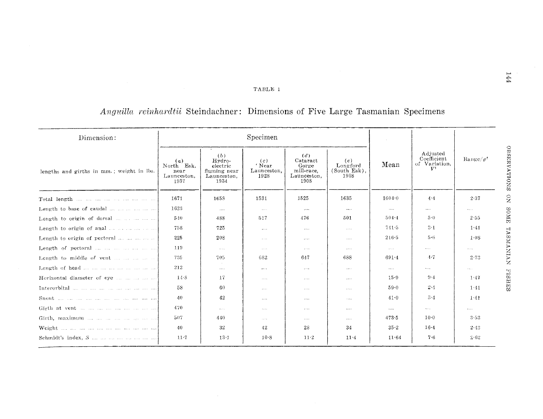## TABLE 1

# *Anguilla reinhardtii* **Steindachner: Dimensions of Five Large Tasmanian Specimens**

| Dimension:                                |                                                  |                                                                  | Specimen                             |                                                               |                                         | $\sim$               | Adjusted<br>Coefficient<br>of Variation,<br>V <sup>1</sup> | $\mathrm{Range}/\sigma^t$                  |
|-------------------------------------------|--------------------------------------------------|------------------------------------------------------------------|--------------------------------------|---------------------------------------------------------------|-----------------------------------------|----------------------|------------------------------------------------------------|--------------------------------------------|
| lengths and girths in mm.; weight in lbs. | (a)<br>North Esk,<br>near<br>Launceston.<br>1937 | (b)<br>Hydro-<br>electric<br>fluming near<br>Launceston,<br>1934 | (c)<br>' Near<br>Launceston,<br>1928 | (d)<br>Cataract<br>Gorge<br>mill-race.<br>Launceston,<br>1908 | (e)<br>Longford<br>(South Esk),<br>1908 | Mean                 |                                                            |                                            |
|                                           | 1671                                             | 1658                                                             | 1531                                 | 1525                                                          | 1635                                    | $1604 - 0$           | $4 - 4$                                                    | 2.37                                       |
| Length to base of caudal                  | 1623                                             | 1.111                                                            | $\sim$ $\sim$ $\sim$                 | $\cdots$                                                      | $\cdots$                                | $\sim$ $\sim$ $\sim$ | $\cdots$                                                   | $\mathbf{r}$ , $\mathbf{r}$ , $\mathbf{r}$ |
| Length to origin of dorsal                | 540                                              | 488                                                              | 517                                  | 476                                                           | 501                                     | $504 - 4$            | 5(                                                         | 2.55                                       |
| Length to origin of anal                  | 758                                              | 725                                                              | $\cdots$                             | $\cdots$                                                      | $\alpha \rightarrow \alpha \gamma$      | $741 - 5$            | $3 - 1$                                                    | 1.41                                       |
| Length to origin of pectoral              | 225                                              | 208                                                              | $\sim$ - $\sim$                      | $\sim$ $\sim$ $\sim$                                          | $\ldots$ .                              | 216.5                | $5 - 6$                                                    | 1.08                                       |
| Length of pectoral                        | 119                                              | $\sim$ $\sim$ $\sim$                                             | $\ldots$ .                           | $\ldots$ .                                                    | $\ldots$                                | $\alpha$ is a set    | $\cdots$                                                   | $\ldots$ .                                 |
| Length to middle of vent                  | 735                                              | 705                                                              | 682                                  | 647                                                           | 688                                     | $691 - 4$            | $-4 - 7$                                                   | 2.73                                       |
|                                           | 212                                              | 1.1.1.1                                                          | $\cdots$                             | $\ldots$                                                      | 1.1.1.1                                 | $\cdots$             | $\sim 100$ km s $^{-1}$                                    | $\mathbf{v}$ , $\mathbf{v}$ , $\mathbf{v}$ |
| Horizontal diameter of eye                | $14-8$                                           | -17                                                              | $\sim$ $\sim$ $\sim$                 | $\ldots$                                                      | $\cdots$                                | 15.9                 | $9-4$                                                      | 1.47                                       |
|                                           | 58                                               | -60                                                              | 1.1.1                                | $\dots$                                                       |                                         | 59.0                 | 2.4                                                        | 1:41                                       |
|                                           | 40                                               | 42                                                               | 1.1.1.1                              | $\sim$ and $\sim$                                             | $\sim$ 100 $\pm$                        | 41.0                 | 3.4                                                        | $1-41$                                     |
|                                           | 470                                              | $\sim 100$                                                       | $1 + 1 + 1$                          | $\ldots$                                                      | $\cdots$                                | 1.111                | $\mathbf{v} = \mathbf{v} \cdot \mathbf{v}$ .               | $\cdots$                                   |
|                                           | 507                                              | 440                                                              | $\sim$ $\sim$ $\sim$                 | 1.111                                                         | 1.111                                   | 4735                 | $10-0$                                                     | $3 - 53$                                   |
|                                           | 40                                               | 32                                                               | 42                                   | 28                                                            | 34                                      | $35 - 2$             | $16 - 4$                                                   | 2.43                                       |
|                                           | $11-7$                                           | $13 - 1$                                                         | $10-8$                               | $11-2$                                                        | $11 - 4$                                | $11 - 64$            | 7.6                                                        | 2.62                                       |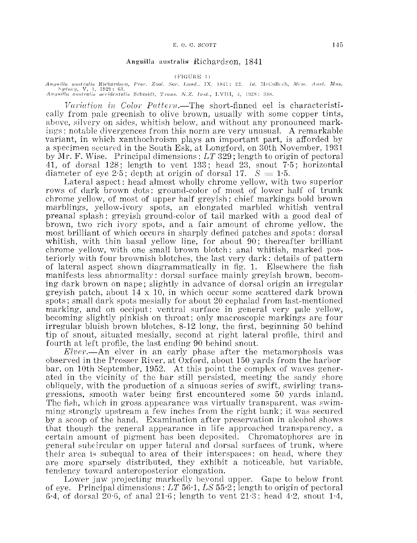#### Anguilla australis Richardson, 1841

#### $(FIGURE 1)$

*Anguilla australis Richardson, Proc. Zool. Soc. Lond..* IX. 1841: 22. *Id. McCullcch, Mcm. Aust. Mus.* Sydney, V, 1, 1929: 63.  $Anyuilla$  australis occidentalis Schmidt, *Trans. N.Z. 1nst.*, LVIII, 4, 1928: 388.

*1lariotion in Color Puttern.-The* short-finned eel is characteristically from pale greenish to olive brown, usually with some copper tints, above, silvery on sides, whitish below, and without any pronounced markings; notable divergences from this norm are very unusual. A remarkable variant, in which xanthochroism plays an important part, is afforded by a specimen secured in the South Esk, at Longford, on 30th November, 1931 Mr. F. Wise. Principal dimensions: *LT* 329; length to origin of pectoral "11, of dorsal 128: length to vent 133; head 23, snout 7·5; horizontal diameter of eye 2.5; depth at origin of dorsal 17.  $S = 1.5$ .

Lateral aspect: head almost wholly chrome yellow, with two superior rows of dark brown dots: ground-color of most of lower half of trunk chrome yellow, of most of upper half greyish; chief markings bold brown marblings, yellow-ivory spots, an elongated marbled whitish ventral preanal splash: greyish ground-color of tail marked with a good deal of brown, two rich ivory spots, and a fair amount of chrome yellow, the most brilliant of which occurs in sharply defined patches and spots: dorsal whitish, with thin basal yellow line, for about 90; thereafter brilliant chrome vellow, with one small brown blotch: anal whitish, marked posteriorly with four brownish blotches, the last very dark: details of pattern of lateral aspect shown diagrammatically in fig. 1. Elsewhere the fish manifests less abnormality: dorsal surface mainly greyish brown, becoming dark brown on nape; slightly in advance of dorsal origin an irregular greyish patch, about  $14 \times 10$ , in which occur some scattered dark brown spots; small dark spots mesially for about 20 cephalad from last-mentioned marking, and on occiput: ventral surface in general very pale yellow, becoming slightly pinkish on throat; only macroscopic markings are four irregular bluish brown blotches, 8-12 long, the first, beginning 50 behind tip of snout, situated mesially, second at right lateral profile, third and fourth at left profile, the last ending 90 behind snout.

*Elver.-An* elver in an early phase after the metamorphosis was observed in the Prosser River, at Oxford, about 150 yards from the harbor bar. on lOth September, 1952. At this point the complex of waves generated in the vicinity of the bar still persisted, meeting the sandy shore obliquely, with the production of a sinuous series of swift, swiding transgressions, smooth water being first encountered some 50 yards inland. The fish, which in gross appearance was virtually transparent, was swimming strongly upstream a few inches from the right bank; it was secured by a scoop of the hand. Examination after preservation in aleohol shows that though the general appearance in life approached transparency, a certain amount of pigment has been deposited. Chromatophores are in general suhcireular on upper lateral and dorsal surfaces of trunk, where their area is subequal to area of their interspaces: on head, where they are more sparsely distributed, they exhibit a noticeable, but variable, tendency toward anteroposterior elongation.

Lower jaw projecting markedly beyond upper. Gape to below front of eye. Principal dimensions: *LT* 56·1, *LS* 55·2; length to origin of pectoral 6.4, of dorsal  $20.6$ , of anal  $21.6$ ; length to vent  $21.3$ ; head  $4.2$ , snout  $1.4$ ,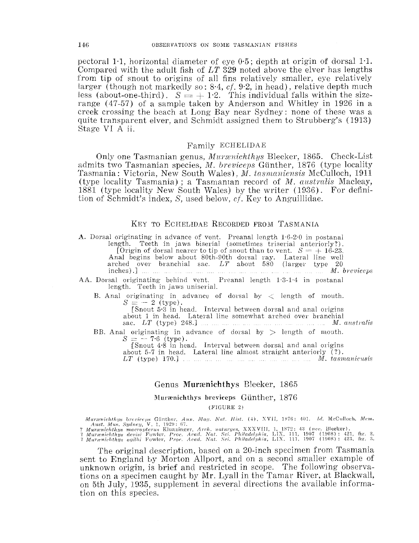pectoral 1.1, horizontal diameter of eye  $0.5$ ; depth at origin of dorsal 1.1. Compared with the adult fish of *LT* 329 noted above the elver has lengths from tip of snout to origins of all fins relatively smaller, eye relatively larger (though not markedly so:  $8.4, cf. 9.2$ , in head), relative depth much less (about-one-third).  $S = +1.2$ . This individual falls within the sizerange (47-57) of a sample taken by Anderson and Whitley in 1926 in a creek crossing the beach at Long Bay near Sydney: none of these was a quite transparent elver, and Schmidt assigned them to Strubberg's (1913) Stage VI A ii.

## Family ECHELIDAE

Only one Tasmanian genus, *Murænichthys* Bleeker, 1865. Check-List admits two Tasmanian species, *M. breviceps* Günther, 1876 (type locality Tasmania: Victoria, New South Wales), *M. tasmaniensis* McCulloch, 1911 (type locality Tasmania); a Tasmanian record of *M. australis* Macleay, 1881 (type locality New South Wales) by the writer (1936). For definition of Schmidt's index, S, used below, cf. Key to Anguillidae.

## KEY TO ECHELIDAE RECORDED FROM TASMANIA

A. Dorsal originating in advance of vent. Preanal length 1·6-2·0 in postanal length. Teeth in jaws biserial (sometimes triserial anteriorly?). [Origin of dorsal nearer to tip of snout than to vent.  $S = +16-23$ . Anal begins below about 80th-90th dorsal ray. Lateral line well arched over branchial sac. *LT* about 580 (larger type 20 inches).] *M. breviceps*  AA. Dorsal originating behind vent. Preanal length 1·3-1·4 in postanal

length. Teeth in jaws uniserial.

B. Anal originating in advance of dorsal by  $\langle$  length of mouth.  $S = -2$  (type).

[Snout 5·3 in head. Interval between dorsal and anal origins sac.  $LT$  (type) 248.]  $\ldots \ldots \ldots \ldots \ldots \ldots \ldots \ldots \ldots \ldots \ldots \ldots$  *M. australis* 

BB. Anal originating in advance of dorsal by  $>$  length of mouth.  $S = -7.6$  (type).

[Snout 4·8 in head. Interval between dorsal and anal origins about 5-7 in head. Lateral line almost straight anteriorly (?). *LT* (type) 170.] *M. tasmaniensis* 

## Genus Murrenichthys Bleeker, 1865

## Murænichthys breviceps Günther, 1876

(FIGURE 2)

Murænichthys breviceps Günther, Ann. Mag. Nat. Hist. (4), XVII, 1876: 401. Id. McCulloch, Mem.<br>2 Murænichthys macropterus Klunzinger, Arch. naturges, XXXVIII, 1, 1872: 43 (nec. Bleeker).<br>2 Murænichthys macropterus Klunzing

The original description, based on a 20-inch specimen from Tasmania sent to England by Morton Allport, and on a second smaller example of unknown origin, is brief and restricted in scope. The following observations on a specimen caught by Mr. Lyall in the Tamar River, at Blackwall, on 5th July, 1935, supplement in several directions the available information on this species.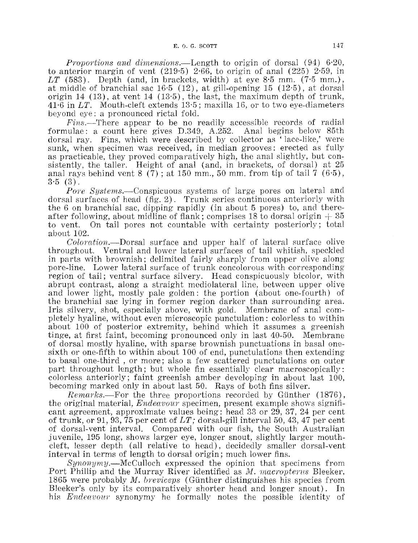*Proportions and dimensions.*—Length to origin of dorsal  $(94)$  6.20, to anterior margin of vent  $(219.5)$  2.66, to origin of anal  $(225)$  2.59, in  $LT$  (583). Depth (and, in brackets, width) at eye 8 $\cdot$ 5 mm. (7 $\cdot$ 5 mm.), at middle of branchial sac 16·6 (12), at gill-opening 15 (12·5), at dorsal origin 14 (13), at vent 14 (13·5), the last, the maximum depth of trunk, 41·6 in *LT.* Mouth-cleft extends 13·5; maxilla 16, or to two eye-diameters beyond eye: a pronounced rictal fold.

Fins.—There appear to be no readily accessible records of radial formulae: a count here gives D.349, A.252. Anal begins below 85th dorsal ray. Fins, which were described by collector as ' lace-like,' were sunk, when specimen was received, in median grooves: erected as fully as practicable, they proved comparatively high, the anal slightly, but consistently, the taller. Height of anal (and, in brackets, of dorsal) at 25 anal rays behind vent 8 (7); at 150 mm., 50 mm. from tip of tail 7 ( $6.5$ ),  $3.5(3)$ .

Pore Systems.—Conspicuous systems of large pores on lateral and dorsal surfaces of head (fig. 2). Trunk series continuous anteriorly with the 6 on branchial sac, dipping rapidly (in about 5 pores) to, and thereafter following, about midline of flank; comprises 18 to dorsal origin  $+35$ to vent. On tail pores not countable with certainty posteriorly; total about 102.

Coloration.---Dorsal surface and upper half of lateral surface olive throughout. Ventral and lower lateral surfaces of tail whitish, speckled in parts with brownish; delimited fairly sharply from upper olive along· pore-line. Lower lateral surface of trunk concolorous with corresponding region of tail; ventral surface silvery. Head conspicuously bicolor, with abrupt contrast, along a straight mediolateral line, between upper olive and lower light, mostly pale golden: the portion (about one-fourth) of the branchial sac lying in former region darker than surrounding area. Iris silvery, shot, especially above, with gold. Membrane of anal completely hyaline, without even microscopic punctulation: colorless to within about 100 of posterior extremity, behind which it assumes a greenish tinge, at first faint, becoming pronounced only in last 40-50. Membrane of dorsal mostly hyaline, with sparse brownish punctuations in basal onesixth or one-fifth to within about 100 of end, punctulations then extending to basal one-third , or more; also a few scattered punctulations on outer part throughout length; but whole fin essentially clear macroscopically: colorless anteriorly; faint greenish amber developing in about last 100, becoming marked only in about last 50. Rays of both fins silver.

*Remarks.*--For the three proportions recorded by Günther (1876), the original material, *Endeavour* specimen, present example shows significant agreement, approximate values being: head 33 or 29, 37, 24 per cent of trunk, or 91, 93, 75 per cent of *LT;* dorsal-gill interval 50, 43, 47 per cent of dorsal-vent interval. Compared with our fish, the South Australian juvenile, 195 long, shows larger eye, longer snout, slightly larger mouthcleft, lesser depth (all relative to head), decidedly smaller dorsal-vent interval in terms of length to dorsal origin; much lower fins.

*Synonymy.-McCulloch* expressed the opinion that specimens from Port Phillip and the Murray River identified as M. *macropterus* Bleeker, 1865 were probably *M. breviceps* (Günther distinguishes his species from Bleeker's only by its comparatively shorter head and longer snout). In his *Endeavour* synonymy he formally notes the possible identity of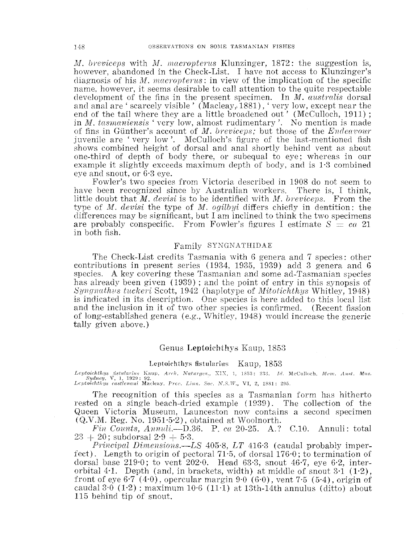*M. breviceps* with *M. macropterus* **Klunzinger, 1872**: the suggestion is, however, abandoned in the Check-List. I have not access to Klunzinger's diagnosis of his M, macropterus: in view of the implication of the specific name. however, it seems desirable to call attention to the quite respectable clevelopment of the fins in the present specimen. In M. *austntlis* dorsal and anal are ' scarcely visible' (Macleay,, 1881), ' very low, except near the end of the tail where they are a little broadened out' (McCulloch, 1911); in *M. tasmaniensis* 'very low, almost rudimentary'. No mention is made of fins in Günther's account of *M. breviceps*; but those of the *Endeavour* juvenile are 'very low'. McCulloch's figure of the last-mentioned fish shows combined height of dorsal and anal shortly behind vent as about one-third of depth of body there, or subequal to eye; whereas in our example it slightly exceeds maximum depth of body, and is  $1.3$  combined eye and snout, or 6·3 eye.

Fowler's two species from Victoria described in 1908 do not seem to have been recognized since by Australian workers. There is, I think, little doubt that M. *devisi* is to be identified with M. *breviceps*. From the type of *M. devisi* the type of *M. ogilbyi* differs chiefly in dentition: the differences may be significant, but I am inclined to think the two specimens are probably conspecific. From Fowler's figures I estimate  $S = ca$  21 in both fish.

# Family SYNGNATHIDAE

The Check-List credits Tasmania with 6 genera and 7 speeies: other contributions in present series  $(1934, 1935, 1939)$  add 3 genera and 6 species. A key covering these Tasmanian and some ad-Tasmanian species has already been given (1939); and the point of entry in this synopsis of *Syngnathus tuckeri Scott, 1942* (haplotype of *Mitotichthys* Whitley, 1948) is indicated in its description. One species is here added to this local list and the inclusion in it of two other species is confirmed. (Recent fission of long-established genera (e.g., Whitley, 1948) would increase the generic tally given above.)

## Genus Leptoichthys Kaup, 1853

#### Leptoichthys fistularius Kaup, 1853

Kaup, Arch. Naturges., XIX, 1, 1853: 233. Id. McCulloch, Mem. Aust. Mus.<br>: 92. Leptoichthys castlenaui Macleay, Proc. Linn. Soc. N.S.W., VI, 2, 1881: 295.

The recognition of this species as a Tasmanian form has hitherto rested on a single beach-dried example ( 1939). The collection of the Queen Victoria Museum, Launceston now contains a second specimen (Q.V.M. Reg. No. 1951·5·2), obtained at Woolnorth.

*Fin Counts, Annuli.*—D.36. P. ca 20-25. A.? C.10. Annuli: total  $23 + 20$ ; subdorsal  $2.9 + 5.3$ .

*Principal Dimensions.—LS* 405-8, *LT* 416-3 (caudal probably imperfect). Length to origin of pectoral 71.5, of dorsal  $176.0$ ; to termination of dorsal base  $219.0$ ; to vent  $202.0$ . Head  $63.3$ , snout  $46.7$ , eye  $6.2$ , interorbital 4.1. Depth (and, in brackets, width) at middle of snout  $3.1 \text{ } (1.2)$ , front of eye 6<sup> $-7$ </sup> (4 $-0$ ), opercular margin 9 $-0$  (6 $-0$ ), vent 7 $-5$  (5 $-4$ ), origin of caudal  $3.0$  (1.2): maximum  $10.6$  (11.1) at 13th-14th annulus (ditto) about ] 15 behind tip of snout.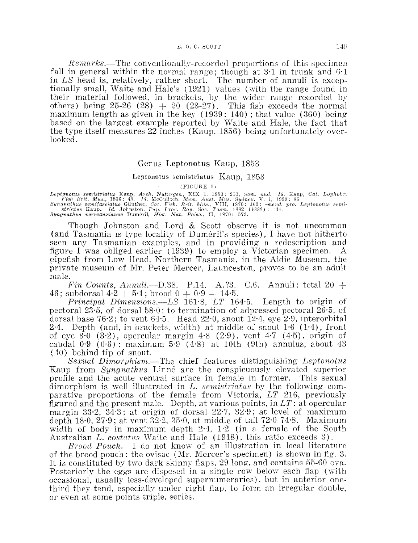#### E.  $0. G. SCOTT$  14 $9$

*Remarks.*—The conventionally-recorded proportions of this specimen fall in general within the normal range; though at  $3·1$  in trunk and  $6·1$ in *LS* head is, relatively, rather short. The number of annuli is exceptionally small, Waite and Hale's (1921) values (with the range found in their material followed, in brackets, by the wider range recorded by others) being  $25-26$   $(28) + 20$   $(23-27)$ . This fish exceeds the normal maximum length as given in the key  $(1939: 140)$ ; that value  $(360)$  being based on the largest example reported by Waite and Hale, the fact that the type itself measures 22 inches (Kaup, 1856) being unfortunately overlooked.

## Genus Leptonotus Kaup, 1853

#### Leptonotus semistriatus Kaup, 1853

 $(FIGURE 3)$ 

Leptonotus semistriatus Kaup, Arch. Naturges., XIX 1, 1853: 233, no<br>Firsh Brit. Mus., 1856: 48. 1d. McCulloch, Mem. Aust. Mus. Syndmathus semifasciatus Günther, Cat. Fish. Brit. Mus., VIII, 1870:<br>Syngnathus Kaup. 1d. Johns *CaL Lophobr.* 

Though Johnston and Lord & Scott observe it is not uncommon (and Tasmania is type locality of Duméril's species), I have not hitherto seen any Tasmanian examples, and in providing a redescription and figure I was obliged earlier ( 1939) to employ a Victorian specimen. A pipefish from Low Head, Northern Tasmania, in the Aldie Museum, the private museum of Mr. Peter Mercer, Launceston, proves to be an adult male.

*Fin Counts, Annuli.*—D.38. P.14. A. ?3. C.6. Annuli: total  $20 +$ 46; subdorsal  $4.2 + 5.1$ ; brood  $0 + 0.9 - 14.5$ .

*PTincipal Dimensions.-LS* 161·8, *LT* 164·5. Length to origin of pectoral 23.5, of dorsal  $58.0$ ; to termination of adpressed pectoral  $26.5$ , of dorsal base  $76.2$ ; to vent  $64.5$ . Head  $22.0$ , snout  $12.4$ , eye  $2.9$ , interorbital 2.4. Depth (and, in brackets, width) at middle of snout  $1.6$  (1.4), front of eye 3.0  $(3.2)$ , opercular margin 4.8  $(2.9)$ , vent 4.7  $(4.5)$ , origin of caudal  $0.9$  ( $0.6$ ): maximum  $5.9$  ( $4.8$ ) at 10th (9th) annulus, about  $43$ ( 40) behind tip of snout.

*Sexual Dimorphism.*—The chief features distinguishing *Leptonotus* Kaup from *Syngnathus* Linné are the conspicuously elevated superior profile and the acute ventral surface in female in former. This sexual dimorphism is well illustrated in *L. semistriatus* by the following comparative proportions of the female from Victoria, *LT* 216, previously figured and the present male. Depth. at various points, in *LT:* at opercular margin 33·2, 34·3; at origin of dorsal 22·7, 32·9; at level of maximum depth 180, 27.9; at vent 32.2, 350, at middle of tail  $72.0748$ . Maximum width of body in maximum depth  $2.4$ ,  $1.2$  (in a female of the South Australian *L. costatus* Waite and Hale (1918), this ratio exceeds 3).

*Brood Pouch.*—I do not know of an illustration in local literature of the brood pouch: the ovisac  $(Mr.$  Mercer's specimen) is shown in fig. 3. It is constituted by two dark skinny flaps, 29 long, and contains 55-60 ova. Posteriorly the eggs are disposed in a single row below each flap (with occasional, usually less-developed supernumeraries), but in anterior onethird they tend, especially under right flap, to form an irregular double, or even at some points triple, series.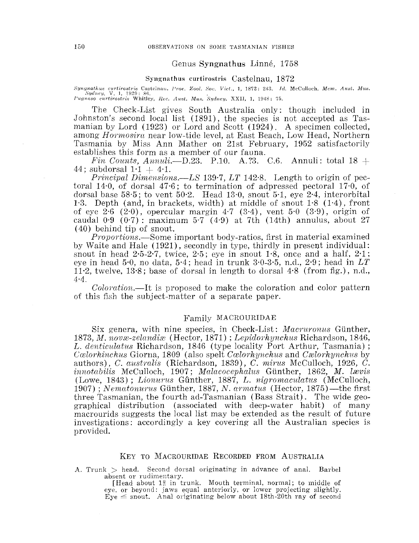### Genus Syngnathus Linne, 1758

#### Syngnathus curtirostris Castelnau, 1872

 $Syngnathus$  curtirostris Castelnau. *Proc. Zool. Soc. Vict.*, 1, 1872: 243. *Id. McCulloch, Mem. Aust. Mus.* Sydney, V, 1, 1929: 86. Pugnaso curtirostris Whitley, Rec. Aust. Mus. Sydney. XXII, 1, 1948: 75.

The Check-List gives South Australia only: though included in Johnston's second local list ( 1891), the species is not accepted as Tasmanian by Lord (1923) or Lord and Scott (1924). A specimen collected, among *Hormosint* near low-tide level, at East Beach, Low Head, Northern Tasmania by Miss Ann Mather on 21st February, 1952 satisfactorily establishes this form as a member of our fauna.

*Fin Counts, Annuli.*—D.23. P.10. A. ?3. C.6. Annuli: total  $18 +$ 44; subdorsal  $1 \cdot 1 + 4 \cdot 1$ .

*Principal Dimensions.—LS* 139.7, *LT* 142.8. Length to origin of pectoral 14·0, of dorsal 47·6; to termination of adpressed pectoral 17·0, of dorsal base 58·5; to vent 50·2. Head 13·0, snout 5·1, eye 2·4, interorbital 1·3. Depth (and, in brackets, width) at middle of snout 1·8 (1·4), front of eye 2.6  $(2.0)$ , opercular margin 4.7  $(3.4)$ , vent 5.0  $(3.9)$ , origin of caudal  $0.9$  ( $0.7$ ): maximum 5.7 (4.9) at 7th (14th) annulus, about 27 ( 40) behind tip of snout.

*Proportions.-Some* important body-ratios, first in material examined by Waite and Hale (1921), secondly in type, thirdly in present individual: snout in head  $2.5-2.7$ , twice,  $2.5$ ; eye in snout 1.8, once and a half,  $2.1$ ; eye in head 5 $\cdot$ 0, no data, 5 $\cdot$ 4; head in trunk  $3\cdot$ 0 $\cdot$ 3 $\cdot$ 5, n.d., 2 $\cdot$ 9; head in  $LT$ 11·2, twelve, 13·8; base of dorsal in length to dorsal 4·8 (from fig.), n.d.,  $4.4.$ 

*Coloration.-It* is proposed to make the coloration and color pattern of this fish the subject-matter of a separate paper.

#### Family MACROURIDAE

Six genera, with nine species, in Check-List: *Macruronus* Gunther, 1873, *J.'}l. 1101!te-zelandim* (Hector, 1871) : *Lepidorhynchus* Richardson, 1846, *L. denticulatus* Richardson, 1846 (type locality Port Arthur, Tasmania) ; *Calorhinchus Giorna, 1809 (also spelt <i>Calorhynchus and Calorhynchus by* authors), *C. australis* (Richardson, 1839), *C. mirus* McCulloch, 1926, *C. innotabilis* McCulloch, 1907; *Malacocephalus* Günther, 1862, *M. lævis* (Lowe, 1843); *Lionurus* Gunther, 1887, *L. nigrcnnaculcdus* (McCulloch, 1907); *Nematomwus* Gtinther, 1887, *N. armatus* (Hector, 1875)-the first three Tasmanian, the fourth ad-Tasmanian (Bass Strait). The wide geographical distribution (associated with deep-water habit) of many macrourids suggests the local list may be extended as the result of future investigations: accordingly a key covering all the Australian species is provided.

## KEY TO MACROURIDAE RECORDED FROM AUSTRALIA

A. Trunk  $>$  head. Second dorsal originating in advance of anal. Barbel absent or rudimentary.

[Head about  $1\frac{3}{5}$  in trunk. Mouth terminal, normal; to middle of eye, or beyond: jaws equal anteriorly, or lower projecting slightly.  $Eye \leq$  snout. Anal originating below about 18th-20th ray of second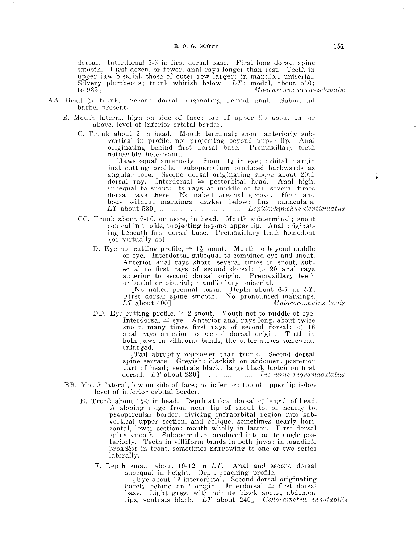dorsal. Interdorsal 5-6 in first dorsal base. First long dorsal spine smooth. First dozen, or fewer, anal rays longer than rest. Teeth in upper jaw biserial, those of oute1· l'OW larger: in mandible uniserial. Silvery plumbeous; trunk whitish below. *LT:* modal, about 530; to 935] *il1acl'w·onus ·no·ow-zclu:n(il'<<:* 

- $AA.$  Head  $>$  trunk. Second dorsal originating behind anal. Submental barbel present.
	- B. Mouth lateral, high on side of face: top of upper lip about on, or above, level of inferior orbital border.
		- C. Trunk about 2 in head. Mouth terminal; snout anteriorly subvertical in profile, not projecting beyond upper lip. Anal originating behind first dorsal base. Premaxillary teeth noticeably heterodont.

[Jaws equal anteriorly. Snout  $1\frac{1}{2}$  in eye; orbital margin just cutting profile. suboperculum produced backwards as angular lobe. Second dorsal originating above about 20th dorsal ray. Interdorsal  $\ge$  postorbital head. Anal high, subequal to snout: its rays at middle of tail several times dorsal rays there. No naked preanal groove. Head and body without markings, darker below; fins immaculate. *LT* about 530] ... .... ... ... ... ... .... *Lepidorhynchus denticulatus* 

- CC. Trunk about 7-10, or more, in head. Mouth subterminal; snout conical in profile, projecting beyond upper lip. Anal originating beneath first dorsal base. Premaxillary teeth homodont (or virtually so).
	- D. Eye not cutting profile,  $\leq 1\frac{1}{2}$  snout. Mouth to beyond middle of eye. Interdorsal subequal to combined eye and snout. Anterior anal rays short, several times in snout, subequal to first rays of second dorsal:  $> 20$  anal rays anterior to second dorsal origin. Premaxillary teeth uniserial or biserial; mandibulary uniserial.

[No naked preanal fossa. Depth about 6-7 in *LT*. First dorsal spine smooth. No pronounced markings. *LT* about 400]  $\ldots$   $\ldots$   $\ldots$   $\ldots$   $\ldots$  *Malacocephalus lwvis* 

DD. Eye cutting profile,  $\geq 2$  snout. Mouth not to middle of eye. Interdorsal  $\leq$  eye. Anterior anal rays long, about twice snout, many times first rays of second dorsal:  $<$  16 anal rays anterior to second dorsal origin. Teeth in both jaws in villiform bands, the outer series somewhat enlarged.

[Tail abruptly narrower than trunk. Second dorsal spine serrate. Greyish; blackish on abdomen, posterior part of head; ventrals black; large black blotch on first dorsal. LT about 230] *manumary Lionarus nigromaculatus* 

- BE. Mouth lateral, low on side of face; or inferior: top of upper lip below level of inferior orbital border.
	- E. Trunk about  $1\frac{1}{2}$ -3 in head. Depth at first dorsal  $\langle$  length of head. A sloping ridge from near tip of snout to, or nearly to, preopercular border, dividing infraorbital region into 'subvertical upper section, and oblique, sometimes nearly horizontal, lower section: mouth wholly in latter. First dorsal spine smooth. Suboperculum produced into acute angle posteriorly. Teeth in villiform bands in both jaws: in mandible. broadest in front, sometimes narrowing to one or two series laterally.
		- F. Depth small, about 10-12 in *LT.* Anal and second dorsal subequal in height. Orbit reaching profile.

 $[Every$  about  $1\frac{3}{4}$  interorbital. Second dorsal originating barely behind anal origin. Interdorsal  $\ge$  first dorsal base. Light grey, with minute black spots; abdomen<br>lips, ventrals black. *LT* about 240] *Coelorhinchus innotabilis*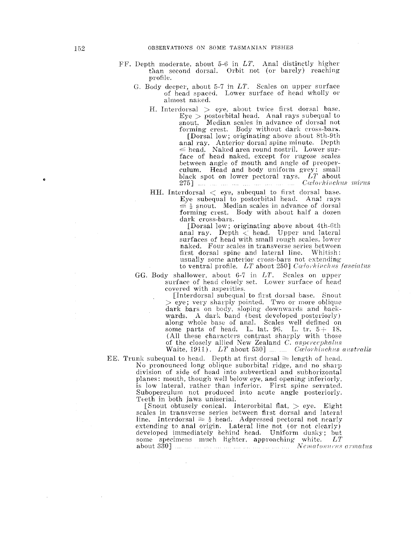- FF. Depth moderate, about 5-6 in  $LT$ . Anal distinctly higher than second dorsal. Orbit not (or barely) reaching profile.
	- G. Body deeper, about 5-7 in  $LT$ . Scales on upper surface of head spaced. Lower surface of head wholly or almost naked.
		- H. Interdorsal  $>$  eye, about twice first dorsal base.  $Eye$   $>$  postorbital head. Anal rays subequal to snout. Median scales in advance of dorsal not forming crest. Body without dark cross-bars. [Dorsal low; originating above about 8th-9th anal ray. Anterior dorsal spine minute. Depth  $\le$  head. Naked area round nostril. Lower sur-<br>face of head naked, except for rugose scales between angle of mouth and angle of preoperculum. Head and body uniform grey: smali black spot on lower pectoral rays.  $LT$  about 275] *Cwlorhinchu8 miirus*

HH. Interdorsal  $\langle$  eye, subequal to first dorsal base. Eye subequal to postorbital head. Anal rays  $\leq$  is snout. Median scales in advance of dorsal forming crest. Body with about half a dozen dark cross-bars.

> [Dorsal low; originating above about 4th-6th anal ray. Depth  $\leq$  head. Upper and lateral surfaces of head with small rough scales, lower naked. Four scales in transverse series between first dorsal spine and lateral line. Whitish: usually some anterior cross-bars not extending to ventral profile.  $LT$  about 250] Calorhinchus fasciatus

GG. Body shallower, about  $6-7$  in  $LT$ . Scales on upper surface of head closely set. Lower surface of head covered with asperities.

[Interdorsal subequal to first dorsal base. Snout  $>$  eye; very sharply pointed. Two or more oblique dark bars on body, sloping downwards and backwards. A dark band (best developed posteriorly) along whole base of anal. Scales well defined on some parts of head. L. lat. 96. L. tr.  $5+18$ . (All these characters contrast sharply with those of the closely allied New Zealand *C.*  Waite, 1911). *LT* about 530] *auminion* Caller model australis

EE. Trunk subequal to head. Depth at first dorsal  $\geq$  length of head. No pronounced long- oblique suborbital ridge, and no sharp division of side of head into subvertical and subhorizontal planes: mouth, though well below eye, and opening inferiorly, is low lateral, rather than inferior. First spine serrated. Suboperculum not produced into acute angle posteriorly. Teeth in both jaws uniserial.

[Snout obtusely conical. Interorbital flat,  $>$  eye. Eight scales in transverse series between first dorsal and lateral line. Interdorsal  $\geq \frac{1}{2}$  head. Adpressed pectoral not nearly extending to anal origin. Lateral line not (or not clearly) developed immediately behind head. Uniform dusky; but some specimens much lighter, approaching white. *LT*  **about 330]** lv~c1natonur·zrs arnuLtns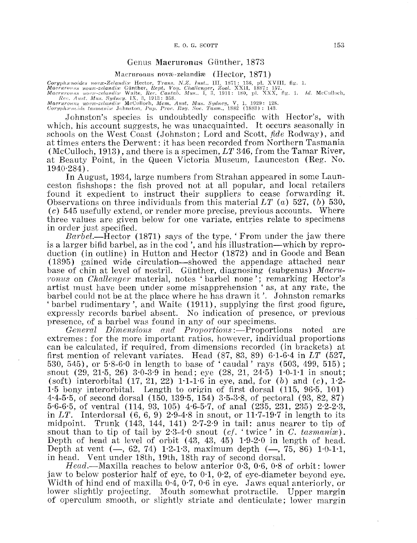## Genus Macruronus Günther, 1873

Macruronus nova-zelandia (Hector,  $1871$ )

N.Z. Inst., HI, 1871: 136, pl. XVIII, fig. 1.<br>*l. Challenger, Zool.* XXII, 1887: 157.<br>*l. Mus.,* 1, 3, 1911: 180, pl. XXX, fig. 1. *Id.* McCulloch,

*Sydney, V, 1, 1929: 128. Tasm., 1882 (1883): 143.* 

Johnston's species is undoubtedly conspecific with Hector's, with which, his account suggests, he was unacquainted. It occurs seasonally in schools on the West Coast (Johnston; Lord and Scott, *fide* Rodway), and at times enters the Derwent: it has been recorded from Northern Tasmania (McCulloch, 1913), and there is a specimen, *LT* 346, from the Tamar River, at Beauty Point, in the Queen Victoria Museum, Launceston (Reg. No. 1940·284).

In August, 1934, large numbers from Strahan appeared in some Launceston fishshops: the fish proved not at all popular, and local retailers found it expedient to instruct their suppliers to cease forwarding it. Observations on three individuals from this material *LT* (a) 527, (b) 530, (c) 545 usefully extend, or render more precise, previous accounts. Where three values are given below for one variate, entries relate to specimens

*Barbel.*—Hector (1871) says of the type, 'From under the jaw there is a larger bifid barbel, as in the cod', and his illustration—which by reproduction (in outline) in Hutton and Hector (1872) and in Goode and Bean (1895) gained wide circulation-showed the appendage attached near base of chin at level of nostril. Günther, diagnosing (subgenus) *Macru-*1'onus on *Chcdlenger* material, notes 'barbel none'; remarking Hector's artist must have been under some misapprehension ' as, at any rate, the barbel could not be at the place where he has drawn it'. Johnston remarks 'barbel rudimentary', and Waite (1911), supplying the first good figure, expressly records barbel absent. No indication of presence, or previous presence, of a barbel was found in any of our specimens.

*General Dimensions and Proportions*: Proportions noted are extremes: for the more important ratios, however, individual proportions can be calculated, if required, from dimensions recorded (in brackets) at first mention of relevant variates. Head (87, 83, 89) 6·1-6·4 in *LT* (527, 530, 545), or 5·8-6·0 in length to base of 'caudal' rays (503, 499, 515); snout (29, 21·5, 26) 3·0-3·9 in head; eye (28, 21, 24·5) 1·0-1·1 in snout; (soft) interorbital  $(17, 21, 22)$  1.1-1.6 in eye, and, for (b) and (c), 1.2-1·5 bony interorbital. Length to origin of first dorsal (115, 96·5, 101) 4·4-5·5, of second dorsal (150, 139·5, 154) 3·5-3·8, of pectoral (93, 82, 87) 5·6-6·5, of ventral (114, 93, 105) 4·6-5·7, of anal (235, 231, 235) 2·2-2·3, in *LT.* Interdorsal (6, 6, 9) 2·9-4·8 in snout, or 11·7-19·7 in length to its midpoint. Trunk (143, 144, 141) 2·7-2·9 in tail: anus nearer to tip of snout than to tip of tail by 2.3-4.0 snout (cf. 'twice' in C. tasmanix). Depth of head at level of orbit  $(43, 43, 45)$  1.9-2.0 in length of head. Depth at vent  $(-, 62, 74)$  1.2-1.3, maximum depth  $(-, 75, 86)$  1.0-1.1, in head. Vent under 18th, 19th, 18th ray of second dorsal.

*Head.*—Maxilla reaches to below anterior 0.3, 0.6, 0.8 of orbit: lower jaw to below posterior half of eye, to 0·1, 0·2, of eye-diameter beyond eye. Width of hind end of maxilla  $0.4, 0.7, 0.6$  in eye. Jaws equal anteriorly, or lower slightly projecting. Mouth somewhat protractile. Upper margin of operculum smooth, or slightly striate and denticulate; lower margin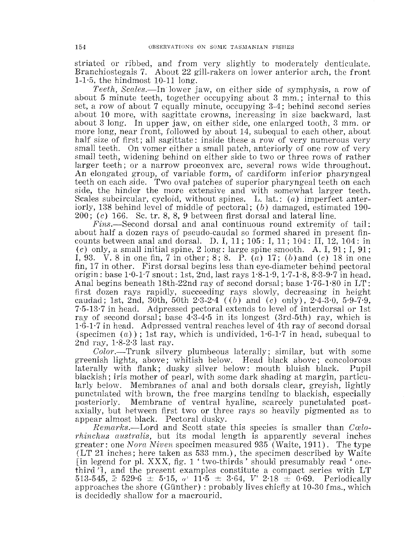striated or ribbed, and from very slightly to moderately denticulate. Branchiostegals 7. About 22 gill-rakers on lower anterior arch, the front 1-1.5, the hindmost  $10-11$  long.

*Teeth, Scales.-In* lower jaw, on either side of symphysis, a row of about 5 minute teeth, together occupying about 3 mm.; internal to this set, a row of about 7 equally minute, occupying 3-4; behind second series about 10 more, with sagittate crowns, increasing in size backward, last about 3 long. In upper jaw, on either side, one enlarged tooth, 3 mm. or more long, near front, followed by about 14, subequal to each other, about half size of first; all sagittate: inside these a row of very numerous very small teeth. On vomer either a small patch, anteriorly of one row of very small teeth, widening behind on either side to two or three rows of rather larger teeth; or a narrow proconvex arc, several rows wide throughout. An elongated group, of variable form, of cardiform inferior pharyngeal teeth on each side. Two oval patches of superior pharyngeal teeth on each side, the hinder the more extensive and with somewhat larger teeth. Scales subcircular, cycloid, without spines. L. lat.:  $(a)$  imperfect anteriorly, 138 behind level of middle of pectoral;  $(b)$  damaged, estimated 190- $200$ ; (c) 166. Sc. tr. 8, 8, 9 between first dorsal and lateral line.

Fins.—Second dorsal and anal continuous round extremity of tail: about half a dozen rays of pseudo-caudal so formed shared in present fincounts between anal and dorsal. D. I, 11; 105: I, 11; 104: II, 12, 104: in  $(c)$  only, a small initial spine, 2 long: large spine smooth. A. I,  $91$ ; I,  $91$ ; I, 93. V. 8 in one fin, 7 in other; 8; 8. P.  $(a)$  17;  $(b)$  and  $(c)$  18 in one fin, 17 in other. First dorsal begins less than eye-diameter behind pectoral origin: base 1·0-1·7 snout: 1st, 2nd, last rays 1·8-1·9, 1·7 -1·8, 8·3-9·7 in head. Anal begins beneath 18th-22nd ray of second dorsal; base 1·76-1·80 in LT: first dozen rays rapidly, succeeding rays slowly, decreasing in height caudad; 1st, 2nd, 30th, 50th  $2.3-2.4$  ((b) and (c) only),  $2.4-3.0$ ,  $5.9-7.9$ , 7·5-13·7 in head. Adpressed pectoral extends to level of interdorsal or 1st ray of second dorsal; base 4·3-4·5 in its longest (3rd-5th) ray, which is 1·6-1·7 in head. Adpressed ventral reaches level of 4th ray of second dorsal (specimen  $(a)$ ); 1st ray, which is undivided, 1.6-1.7 in head, subequal to 2nd ray,  $1.8-2.3$  last ray.

*Color.-*Trunk silvery plumbeous laterally; similar, but with some greenish lights, above; whitish below. Head black above; concolorous laterally with flank; dusky silver below: mouth bluish black. Pupil blackish; iris mother of pearl, with some dark shading at margin, particularly below. Membranes of anal and both dorsals clear, greyish, lightly punctulated with brown, the free margins tending to blackish, especially posteriorly. Membrane of ventral hyaline, scarcely punctulated postaxially, but hetween first two or three rays so heavily pigmented as to appear almost black. Pectoral dusky.

*Remarks.*—Lord and Scott state this species is smaller than *Coelorhinchus australis,* but its modal length is apparently several inches greater: one *Nora Niven* specimen measured 935 (Waite, 1911). The type (LT 21 inches; here taken as 533 mm.), the specimen described by Waite [in legend for pl. XXX, fig. 1 'two-thirds' should presumably read 'onethird '1, and the present examples constitute a compact series with LT 513-545,  $\bar{x}$  529.6  $\pm$  5.15,  $\sigma$ <sup>1</sup> 11.5  $\pm$  3.64,  $V$ <sup>1</sup> 2.18  $\pm$  0.69. Periodically approaches the shore (Günther) : probably lives chiefly at  $10-30$  fms., which is decidedly shallow for a macrourid.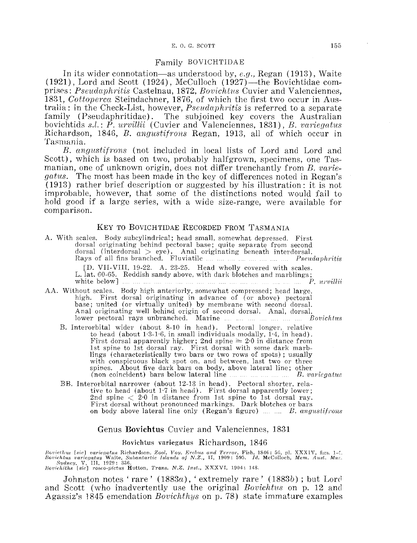#### E. 0. G. SCOTT 155

#### Family BOVlCHTIDAE

In its wider connotation-as understood by, *e.g.,* Regan (1913), Waite  $(1921)$ , Lord and Scott  $(1924)$ , McCulloch  $(1927)$ —the Bovichtidae comprises: *Pseuclaphritis* Castelnau, 1872, *Bovicht1rs* Cuvier and Valenciennes, 1831, *Cottoperca* Steindachner, 1876, of which the first two occur in Australia: in the Check-List, however, *Pseudaphritis* is referred to a separate family (Pseudaphritidae). The subjoined key covers the Australian bovichtids *s.l.: P. urvillii* ( Cuvier and Valenciennes, 1831), *B. vciriegatus*  Richardson, 1846, *B. angustifrons* Regan, 1913, all of which occur in Tasmania.

*B. angustifnms* (not included in local lists of Lord and Lord and Scott), which is based on two, probably halfgrown, specimens, one Tasmanian, one of unknown origin, does not differ trenchantly from *B. variegatus.* The most has been made in the key of differences noted in Regan's  $(1913)$  rather brief description or suggested by his illustration: it is not improbable, however, that some of the distinctions noted would fail to hold good if a large series, with a wide size-range, were available for comparison.

## KEY TO BOVICHTIDAE RECORDED FROM TASMANIA

| A. With scales. Body subcylindrical; head small, somewhat depressed. First<br>dorsal originating behind pectoral base; quite separate from second<br>dorsal (interdorsal $>$ eye). Anal originating beneath interdorsal.<br>Rays of all fins branched. Fluviatile         Pseudaphritis                                                                                                                                                                                                                                                                                 |
|-------------------------------------------------------------------------------------------------------------------------------------------------------------------------------------------------------------------------------------------------------------------------------------------------------------------------------------------------------------------------------------------------------------------------------------------------------------------------------------------------------------------------------------------------------------------------|
| [D. VII-VIII, 19-22. A. 23-25. Head wholly covered with scales.<br>L. lat. 60-65. Reddish sandy above, with dark blotches and marblings;<br>white below $\mathbf{w}$ is the same in the same in the same in the same in the same $\mathbf{P}$ urvilli                                                                                                                                                                                                                                                                                                                   |
| AA. Without scales. Body high anteriorly, somewhat compressed; head large,<br>high. First dorsal originating in advance of (or above) pectoral<br>base; united (or virtually united) by membrane with second dorsal.<br>Anal originating well behind origin of second dorsal. Anal, dorsal,<br>lower pectoral rays unbranched. Marine       Bovichtus                                                                                                                                                                                                                   |
| B. Interorbital wider (about 8-10 in head). Pectoral longer, relative<br>to head (about $1.3-1.6$ , in small individuals modally, $1.4$ , in head).<br>First dorsal apparently higher; 2nd spine $\geq 2.0$ in distance from<br>1st spine to 1st dorsal ray. First dorsal with some dark marb-<br>lings (characteristically two bars or two rows of spots); usually<br>with conspicuous black spot on, and between, last two or three<br>spines. About five dark bars on body, above lateral line; other<br>(non coincident) bars below lateral line      B. variegatus |

BE. Interorbital narrower (about 12-13 in head). Pectoral shorter, relative to head (about 1·7 in head). First dorsal apparently lower; 2nd spine  $\langle 20 \rangle$  in distance from 1st spine to 1st dorsal ray.<br>First dorsal without pronounced markings. Dark blotches or bars on body above lateral line only (Regan's figure) *marks angustifrons* 

## Genus Bovichtus Cuvier and Valenciennes, 1831

#### Bovichtus variegatus Richardson, 1846

Bovicthys [sic] variegatus Richardson. Zool. Voy. Erebus and Terror, Fish, 1846: 56, pl. XXXIV, figs. 1–4.<br>Bovichtus variegatus Waite, Subantartic Islands of N.Z., 11, 1909: 595. Id. McCulloch, Mem. Aust. Mus.<br>Bovichiths [

Johnston notes 'rare' (1883a), 'extremely rare' (1883b); but Lord and Seott (who inadvertently use the original *Bovichtus* on p. 12 ancl Agassiz's 1845 emendation *Bovichthys* on p. 78) state immature examples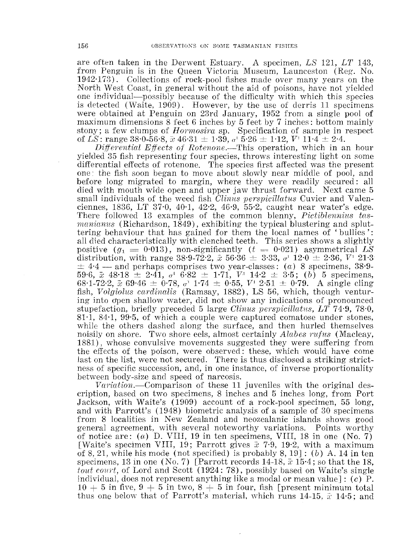are often taken in the Derwent Estuary. A specimen, *LS* 121, *LT* 143, from Penguin is in the Queen Victoria Museum, Launceston (Reg. No.  $1942·173$ ). Collections of rock-pool fishes made over many years on the North West Coast, in general without the aid of poisons, have not yielded one individual-possibly because of the difficulty with which this species is detected {Waite, 1909). However, by the use of derris 11 specimens were obtained at Penguin on 23rd January, 1952 from a single pool of maximum dimensions 8 feet 6 inches by 5 feet by 7 inches: bottom mainly stony; a few clumps of *Hormosira* sp. Specification of sample in respect of *LS*: range 38.0-56.8,  $\bar{x}$  46.31  $\pm$  1.39,  $\sigma$ <sup>1</sup> 5.26  $\pm$  1.12,  $V$ <sup>1</sup> 11.4  $\pm$  2.4.

*Differential Effects of Rotenone.*—This operation, which in an hour yielded 35 fish representing four species, throws interesting light on some differential effects of rotenone. The species first affected was the present one: the fish soon began to move about slowly near middle of pool, and before long migrated to margin, where they were readily secured: all died with mouth wide open and upper jaw thrust forward. Next came 5 small individuals of the weed fish *Clinus perspicillatus* Cuvier and Valenciennes, 1836, LT 37·0, 40·1, 42·2, 46·9, 55·2, caught near water's edge. There followed 13 examples of the common blenny, *Pictiblennius tas*manianus (Richardson, 1849), exhibiting the typical blustering and spluttering behaviour that has gained for them the local names of ' bullies ': all died characteristically with clenched teeth. This series shows a slightly positive  $(g_1 = 0.013)$ , non-significantly  $(t = 0.021)$  asymmetrical LS distribution, with range 38.9-72.2,  $\bar{x}$  56.36  $\pm$  3.33,  $\sigma$ <sup>1</sup> 12.0  $\pm$  2.36,  $V^{\dagger}$  21.3  $\pm$  4.4 -- and perhaps comprises two year-classes: (a) 8 specimens, 38.9-59.6,  $\bar{x}$  48.18  $\pm$  2.41,  $\sigma$ <sup>1</sup> 6.82  $\pm$  1.71,  $V^{\dagger}$  14.2  $\pm$  3.5; (b) 5 specimens, 68.1-72.2,  $\bar{x}$ : 69.46  $\pm$  0.78,  $\sigma$ <sup>1</sup> 1.74  $\pm$  0.55,  $V'$  2.51  $\pm$  0.79. A single cling fish, *Volgiolus canlincdis* (Ramsay, 1882), LS 56, which, though venturing into open shallow water, did not show any indications of pronounced stupefaction, briefly preceded 5 large *Clinus perspicillatus, LT* 74.9, 78.0, 81·1, 84·1, 99·5, of which a couple were captured comatose under stones, while the others dashed along the surface, and then hurled themselves noisily on shore. Two shore eels, almost certainly *Alabes rufus* (Macleay, 1881), whose convulsive movements suggested they were suffering from the effects of the poison, were observed: these, which would have come last on the list, were not secured. There is thus disclosed a striking strictness of specific succession, and, in one instance, of inverse proportionality between body -size and speed of narcosis.

Variation.—Comparison of these 11 juveniles with the original description, based on two specimens, 8 inches and 5 inches long, from Port Jackson, with Waite's (1909) account of a rock-pool specimen, 55 long, and with Parrott's (1948) biometric analysis of a sample of 30 specimens from 8 localities in New Zealand and neozealanic islands shows good general agreement, \vith several noteworthy variations. Points worthy of notice are: (a) D. VIII, 19 in ten specimens, VIII, 18 in one (No. 7) [Waite's specimen VIII, 19; Parrott gives *x* 7·9, 19·2, with a maximum of 8, 21, while his mode (not specified) is probably 8, 19]: (b) A. 14 in ten specimens, 13 in one (No.7) [Parrott records 14-18, *x* 15·4; so that the 18, *tout court*, of Lord and Scott (1924: 78), possibly based on Waite's single individual, does not represent anything like a modal or mean value]:  $(c)$  P.  $10 + 5$  in five,  $9 + 5$  in two,  $8 + 5$  in four, fish [present minimum total] thus one below that of Parrott's material, which runs 14-15,  $\bar{x}$ : 14.5; and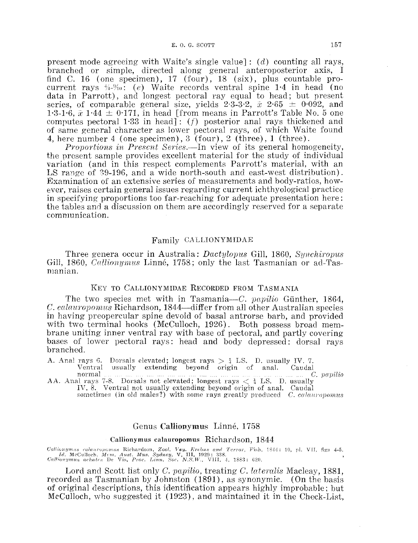present mode agreeing with Waite's single value]:  $(d)$  counting all rays, branched or simple, directed along general anteroposterior axis, I find C. 16 (one specimen), 17 (four), 18 (six), plus countable procurrent rays  $\frac{1}{4}$  /20: (e) Waite records ventral spine 1.4 in head (no data in Parrott), and longest pectoral ray equal to head; but present series, of comparable general size, yields  $2.3-3.2$ ,  $\bar{x}$   $2.65 \pm 0.092$ , and 1·3-1·6,  $\bar{x}$  1·44  $\pm$  0·171, in head [from means in Parrott's Table No. 5 one computes pectoral 1·33 in head] : (f) posterior anal rays thickened and of same general character as lower pectoral rays, of which Waite found 4, here number 4 (one specimen),  $3$  (four),  $2$  (three),  $1$  (three).

*Proportions in Present Series.*—In view of its general homogeneity, the present sample provides excellent material for the study of individual variation (and in this respect complements Parrott's material, with an LS range of 39-196, and a wide north-south and east-west distribution). Examination of an extensive series of measurements and body-ratios, however. raises certain general issues regarding current ichthyological practice in speeifying proportions too far-reaching for adequate presentation here: the tables and a diseussion on them are accordingly reserved for a separate communication.

## Family CALLIONYMIDAE

Three genera occur in Australia: *Dactylopus Gill*, 1860, *Synchiropus* 1860, *Culiionymus* Linne, 1758; only the last Tasmanian or ad-Tas- manian.

## KEY TO CALLIONYMIDAE RECORDED FROM TASMANIA

The two species met with in Tasmania-C. *papilio* Günther, 1864, C. calauropomus Richardson, 1844—differ from all other Australian species in having preopercular spine devoid of basal antrorse barb, and provided with two terminal hooks (McCulloch, 1926). Both possess broad membrane uniting inner ventral ray with base of pectoral, and partly covering bases of lower pectoral rays: head and body depressed: dorsal rays branched.

A. Anal rays 6. Dorsals elevated; longest rays  $>$  4 LS. D. usually IV. 7. Ventral usually extending beyond origin of anal. Caudal usually extending beyond origin of anal.

normal *C. papilio* normal *C. papilio*  $A$ . Anal rays 7-8. Dorsals not elevated; longest rays  $\langle \frac{1}{4} \text{ L.S. } D$ . usually IV, 8. Ventral not usually extending beyond origin of anal. Caudal

sometimes (in old males?) with some rays greatly produced C. calauropomus

# Genus CaHionymus Linne, 1758

#### Callionymus calauropomus Richardson, 1844

Callionymus calauropomus Richardson, Zool. Vey. Ercbus and Terror, Fish, 1844: 10, pl. VII, figs 4-5.<br> *Id.* McCulloch, Mcm. Aust. Mus. Sydney, V, 111, 1929: 338.<br> *Callionymus achates* De Vis, Proc. Linn. Soc. N.S.W., VII

Lord and Scott list only *C. pcwilio,* treating *C. luteralis* Maeleay, 1881, recorded as Tasmanian by Johnston ( 1891), as synonymic. (On the basis of original deseriptions, this identification appears highly improbable; but McCulloch, who suggested it (1923), and maintained it in the Check-List,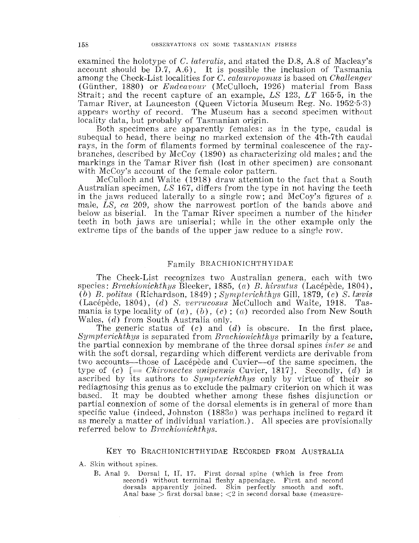examined the holotype of *C. lateralis,* and stated the D.8, A.8 of Macleay's account should be  $\overline{D.7}$ , A.6). It is possible the inclusion of Tasmania among the Check-List localities for *C*. *calauropomus* is based on *Challenger* (Gunther, 1880) or *Endeavour* (McCulloch, 1926) material from Bass Strait; and the recent capture of an example, *LS* 123, *LT* 165·5, in the Tamar River, at Launceston (Queen Victoria Museum Reg. No. 1952·5·3) appears worthy of record. The Museum has a second specimen without locality data, but probably of Tasmanian origin.

Both specimens are apparently females: as in the type, caudal is subequal to head, there being no marked extension of the 4th-7th caudal rays, in the form of filaments formed by terminal coalescence of the raybranches, described by McCoy ( 1890) as characterizing old males; and the markings in the Tamar River fish (lost in other specimen) are consonant with McCoy's account of the female color pattern.

McCulloch and Waite (1918) draw attention to the fact that a South Australian specimen, *LS* 167, differs from the type in not having the teeth in the jaws reduced laterally to a single row; and McCoy's figures of a male, *LS, ca* 209, show the narrowest portion of the bands above and below as biserial. In the Tamar River specimen a number of the hinder teeth in both jaws are uniserial; while in the other example only the extreme tips of the bands of the upper jaw reduce to a single row.

## Family BRACHIONICHTHYIDAE

The Check-List recognizes two Australian genera, each with two species: *Brachionichthys* Bleeker, 1885, *(a) B. hirsutus (Lacépède, 1804)*, *(b) B. politus* (Richardson, 1849); *Sympterichthys* Gill, 1879, *(c) S. lmvis*  (Lacepede, 1804), *(d) S. verrucosus* McCulloch and Waite, 1918. Tasmania is type locality of  $(a)$ ,  $(b)$ ,  $(c)$ ;  $(a)$  recorded also from New South Wales, (d) from South Australia only.

The generic status of  $(c)$  and  $(d)$  is obscure. In the first place, *Sympterichthys* is separated from *Brachionichthys* primarily by a feature, the partial connexion by membrane of the three dorsal spines *inter se* and with the soft dorsal, regarding which different verdicts are derivable from two accounts—those of Lacepede and Cuvier—of the same specimen, the type of  $(c)$  [= *Chironectes unipennis* Cuvier, 1817]. Secondly,  $(d)$  is ascribed by its authors to *Sympterichthys* only by virtue of their so rediagnosing this genus as to exclude the palmary criterion on which it was based. It may be doubted whether among these fishes disjunction or partial connexion of some of the dorsal elements is in general of more than specific value (indeed, Johnston  $(1883a)$  was perhaps inclined to regard it as merely a matter of individual variation.). All species are provisionally referred below to *Brachionichthys.* 

## KEY TO BRACHIONICHTHYIDAE RECORDED FROM AUSTRALIA

A. Skin without spines.

B. Anal 9. Dorsal I, II, 17. First dorsal spine (which is free from second) without terminal fleshy appendage. First and second dorsals apparently joined. Skin perfectly smooth and soft. Anal base  $>$  first dorsal base;  $<$ 2 in second dorsal base (measure-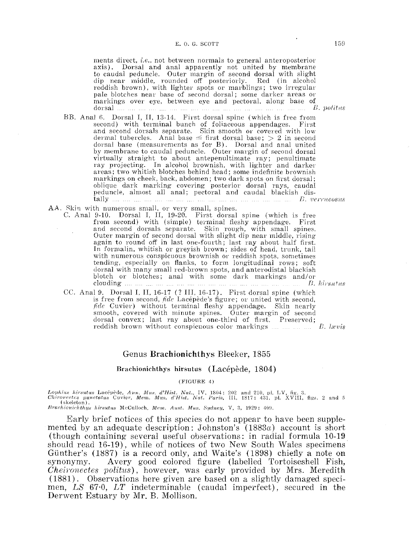#### E. O. G. SCOTT

ments direct. *i.e.,* not between normals to general anteroposterior axis). Dorsal and anal apparently not united by membrane to caudal peduncle. Outer margin of second dorsal with slight dip near middle, rounded off posteriorly. Red (in alcohol reddish brown), with lighter spots or marblings; two irregular pale blotches near base of second dorsal; some darker areas or markings over eye. between eye and pectoral, along base of dorsal  $\overline{h}$ . *political dorsal*  $\overline{h}$ *. points*  $\overline{h}$ . *points*  $\overline{h}$ . *points*  $\overline{h}$ . *points*  $\overline{h}$ . *points*  $\overline{h}$ . *points*  $\overline{h}$ . *points*  $\overline{h}$ . *points*  $\overline{h}$ . *points*  $\overline{h}$ . *poin* 

- BB. Anal G. Dorsal I, II, 13-14. First dorsal spine (which is free from second) with terminal bunch of foliaceous appendages. First and second dorsals separate. Skin smooth or covered with low dermal tubercles. Anal base  $\leq$  first dorsal base;  $>$  2 in second dorsal base (measurements as for B). Dorsal and anal united by membrane to caudal peduncle. Outer margin of second dorsal virtually straight to about antepenultimate ray; penultimate ray projecting. In alcohol brownish, with lighter and darker areas; two whitish blotches behind head; some indefinite brownish markings on cheek, back, abdomen; two dark spots on first dorsal; oblique dark marking covering posterior dorsal rays, caudal peduncle, almost all anal; pectoral and caudal blackish dis $tally$   $\ldots$   $\ldots$   $\ldots$   $\ldots$   $\ldots$   $\ldots$   $\ldots$   $\ldots$   $\ldots$   $\ldots$   $\ldots$   $\ldots$   $\ldots$   $B.$  verrucosus
- AA. Skin with numerous small, or very small, spines.
	- C. Anal 9-10. Dorsal I, II, 19-20. First dorsal spine (which is free from second) with (simple) terminal fieshy appendage. First and second dorsals separate. Skin rough, with small spines.<br>Outer margin of second dorsal with slight dip near middle, rising again to round off in last one-fourth; last ray about half first. In formalin, whitish or greyish brown; sides of head, trunk, tail with numerous conspicuous brownish or reddish spots, sometimes tending, especially on fianks, to form longitudinal rows; soft dorsal with many small red-brown spots, and anterodistal blackish blotch or blotches; anal with some dark markings and/or clouding *B. hirwu.tus*
	- CC. Anal 9. Dorsal I, II, 1G-17 (? III, 16-17). First dorsal spine (which is free from second, *fide* Lacepede's figure; or united with second, *fide* Cuvier) without terminal fleshy appendage. Skin nearly smooth, covered with minute spines. Outer margin of second dorsal convex; last ray about one-third of first. Preserved; reddish brown without conspicuous color markings  $\ldots$   $\ldots$   $\ldots$   $\ldots$  *E. lavis*

## Genus Brachionichthys Bleeker, 1855

#### Brachionichthys hirsutus (Lacépède, 1804)

(FIGURE 4)

.<br>Lophius hirsutus Lacépède, Ann. Mus. d'Hist. Nat., IV, 1804: 202 and 210, pl. LV, fig. 3.<br>Chironectes punctatus Cuvier, Mem. Mus. d'Hist. Nat. Paris, III, 1817: 431, pl. XVIII, figs. 2 and 5  $(skeleton)$ .

*Brachienichthys hirsutus McCulloch, Mem. Aust. Mus. Sydney, V, 3, 1929: 409.* 

Early brief notices of this species do not appear to have been supplemented by an adequate description: Johnston's  $(1883a)$  account is short (though containing several useful observations: in radial formula 10-19 should read 16-19), while of notices of two New South Wales specimens· Günther's (1887) is a record only, and Waite's (1898) chiefly a note on synonymy. Avery good colored figure (labelled Tortoiseshell Fish, *Cheironectes politus),* however, was early provided by Mrs. Meredith (1881). Observations here given are based on a slightly damaged specimen, *LS* 67·0, *LT* indeterminable (caudal imperfect), secured in the Derwent Estuary by Mr. B. Mollison.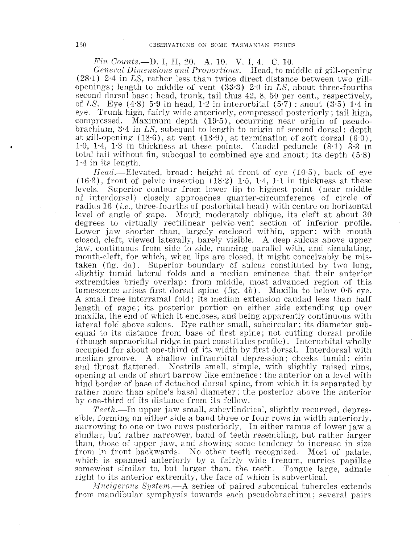# *Fin Counts.-D.* I, II, 20. A. 10. V. I, 4. C. 10.

*General Dimensious and Proportion.s.-Head,* to middle of gill-opening ( 28·1) 2·4 in *LS,* rather less than twice direct distance between two gillopenings; length to middle of vent ( 33·3) 2·0 in *LS,* about three-fourths second dorsal base: head, trunk, tail thus 42, 8, 50 per cent., respectively, of *LS.* Eye (4·8) 5·9 in head, 1·2 in interorbital (5·7): snout (3·5) 1·4 in eye. Trunk high, fairly wide anteriorly, compressed posteriorly; tail high, compressed. Maximum depth  $(19.5)$ , occurring near origin of pseudobrachium, 3·4 in *LS,* subequal to length to origin of second dorsal: depth at gill-opening  $(18.6)$ , at vent  $(13.9)$ , at termination of soft dorsal  $(6.0)$ , 1·0, 1·4, 1·3 in thickness at these points. Caudal peduncle (8·1) 3·3 in total tail without fin, subequal to combined eye and snout; its depth  $(5.8)$  $1.4$  in its length.

Head.—Elevated, broad: height at front of eye  $(10.5)$ , back of eye (16·3), front of pelvic insertion  $(18.2)$  1·5, 1·4, 1·1 in thickness at these levels. Superior contour from lower lip to highest point (near middle Superior contour from lower lip to highest point (near middle of interdorsal) closely approaches quarter-circumference of circle of radius 16 (*i.e.*, three-fourths of postorbital head) with centre on horizontal level of angle of gape. Mouth moderately oblique, its cleft at about 30 degrees to virtually rectilinear pelvic-vent section of inferior profile. Lower jaw shorter than, largely enclosed within, upper: with mouth closed, cleft, viewed laterally, barely visible. A deep sulcus above upper jaw, continuous from side to side, running parallel with, and simulating, mouth-deft, for which, when lips are dosed, it might conceivably be mistaken (fig. 4a). Superior boundary of sulcus constituted by two long, slightly tumid lateral folds and a rnedian eminence that their anterior extremities briefly overlap: from middle, most advanced region of this tumescence arises first dorsal spine  $(f\,g. 4b)$ . Maxilla to below 0.5 eye. A small free interramal fold; its median extension caudad less than half length of gape; its posterior portion on either side extending- up over maxilla, the end of which it encloses, and being apparently continuous with lateral fold above sulcus. Eye rather small, subcircular; its diameter subequal to its distance from base of first spine; not cutting dorsal profile (though supraorbital ridge in part constitutes profile). Interorbital wholly occupied for about one-third of its width by first dorsal. Interdorsal with median groove. A shallow infraorbital depression; cheeks tumid; chin and throat flattened. Nostrils small, simple, with slightly raised rims, opening at ends of short barrow-like eminence: the anterior on a level with hind border of base of detached dorsal spine, from which it is separated by rather more than spine's basal diameter; the posterior above the anterior by one-third of its distance from its fellow.

*Teeth.-In* upper jaw small, subcylindrical, slightly recurved, depressible, forming on either side a band three or four rows in width anteriorly, narrowing to one or two rows posteriorly. In either ramus of lower jaw a similar, but rather narrower, band of teeth resembling, but rather larger than, those of upper jaw, and showing some tendency to increase in size from in front backwards. No other teeth recognized. Most of palate, which is spanned anteriorly by a fairly wide frenum, carries papillae somewhat similar to, but larger than, the teeth. Tongue large, adnate right to its anterior extremity, the face of which is subvertical.

*Mucigerous System.*—A series of paired subconical tubercles extends frorn mandibular symphysis towards eaeh pseudobrachium; several pairs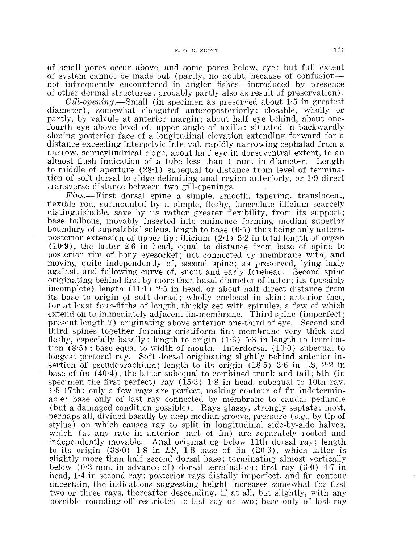of small pores occur above, and some pores below, eye: but full extent of system cannot be made out (partly, no doubt, because of confusionnot infrequently encountered in angler fishes—introduced by presence of other dermal structures; probably partly also as result of preservation).

*Gill-open'ing.-Small* (in specimen as preserved about 1·5 in greatest diameter), somewhat elongated anteroposteriorly; closable, wholly or partly, by valvule at anterior margin; about half eye behind, about onefourth eye above level of, upper angle of axilla: situated in backwardly sloping posterior face of a longitudinal elevation extending forward for a distance exceeding interpelvic interval, rapidly narrowing cephalad from a narrow, semicylindrical ridge, about half eye in dorsoventral extent, to an almost flush indication of a tube less than 1 mm. in diameter. Length to middle of aperture (28·1) subequal to distance from level of termination of soft dorsal to ridge delimiting anal region anteriorly, or 1·9 direct transverse distance between two gill-openings.

*F''ins.-First* dorsal spine a simple, smooth, tapering, translucent, flexible rod, surmounted by a simple, fleshy, lanceolate illicium scarcely distinguishable, save by its rather greater flexibility, from its support; base bulbous, movably inserted into eminence forming median superior boundary of supralabial sulcus, length to base  $(0.5)$  thus being only anteroposterior extension of upper lip; illicium  $(2.1)$  5.2 in total length of organ  $(10.9)$ , the latter 2.6 in head, equal to distance from base of spine to posterior rim of bony eyesocket; not connected by membrane with, and moving quite independently of, second spine; as preserved, lying laxly against, and following curve of, snout and early forehead. Second spine originating behind first by more than basal diameter of latter; its (possibly incomplete) length  $(11.1)$  2.5 in head, or about half direct distance from its base to origin of soft dorsal; wholly enclosed in skin; anterior face, for at least four-fifths of length, thickly set with spinules, a few of which extend on to immediately adjacent fin-membrane. Third spine (imperfect; present length 7) originating above anterior one-third of eye. Second and third spines together forming cristiform fin; membrane very thick and fleshy, especially basally: length to origin ( 1·6) 5·3 in length to termination  $(8.5)$ ; base equal to width of mouth. Interdorsal  $(10.0)$  subequal to longest pectoral ray. Soft dorsal originating slightly behind anterior insertion of pseudobrachium; length to its origin ( 18·5) 3·6 in LS, 2·2 in base of fin ( 40·4), the latter subequal to combined trunk and tail; 5th (in specimen the first perfect) ray  $(15.3)$  1.8 in head, subequal to 10th ray, 1·5 17th: only a few rays are perfect, making contour of fin indeterminable; base only of last ray connected by membrane to caudal peduncle (but a damaged condition possible). Rays glassy, strongly septate: most, perhaps all, divided basally by deep median groove, pressure (e.g., by tip of stylus) on which causes ray to split in longitudinal side-by-side halves, which (at any rate in anterior part of fin) are separately rooted and independently movable. Anal originating below 11th dorsal ray; length to its origin  $(38.0)$  1.8 in *LS*, 1.8 base of fin  $(20.6)$ , which latter is slightly more than half second dorsal base; terminating almost vertically below (0.3 mm. in advance of) dorsal termination; first ray  $(6.0)$  4.7 in head, 1·4 in second ray; posterior rays distally imperfect, and fin contour uncertain, the indications suggesting height increases somewhat for first two or three rays, thereafter descending, if at all, but slightly, with any possible rounding-off restricted to last ray or two ; base only of last ray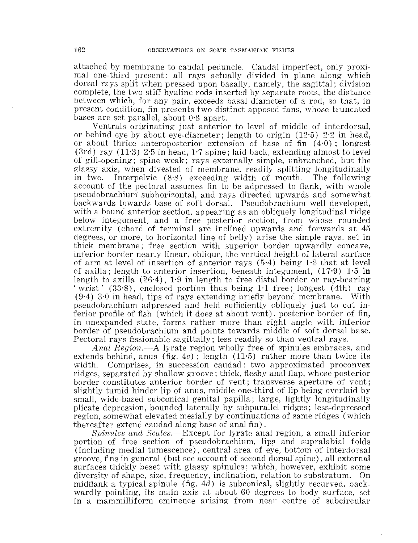attached by membrane to caudal peduncle. Caudal imperfect, only proximal one-third present: all rays actually divided in plane along which dorsal rays split when pressed upon basally, namely, the sagittal; division complete, the two stiff hyaline rods inserted by separate roots, the distance between which, for any pair, exceeds basal diameter of a rod, so that, in present condition, fin presents two distinct apposed fans, whose truncated bases are set parallel, about O·B apart.

Ventrals originating just anterior to level of middle of interdorsal, or behind eye by about eye-diameter; length to origin  $(12.5)$   $2.2$  in head, or about thrice anteroposterior extension of base of fin  $(4.0)$ ; longest  $(3rd)$  ray  $(11·3)$  2<sup>·5</sup> in head, 1<sup>·7</sup> spine; laid back, extending almost to level of gill-opening; spine weak; rays externally simple, unbranched, but the glassy axis, when divested of membrane, readily splitting longitudinally<br>in two. Interpelyic (8.8) exceeding width of mouth. The following Interpelvic  $(8.8)$  exceeding width of mouth. account of the pectoral assumes fin to be adpressed to flank, with whole p8eudobrachium subhorizontal, and rays directed upwards and somewhat backwards towards base of soft dorsal. Pseudobrachium well developed, with a bound anterior section, appearing as an obliquely longitudinal ridge below integument, and a free posterior section, from whose rounded extremity (chord of terminal arc inclined upwards and forwards at 45 degrees, or more, to horizontal line of belly) arise the simple rays, set in thick membrane; free section with superior border upwardly concave, inferior border nearly linear, oblique, the vertical height of lateral surface of arm at level of insertion of anterior rays (5·4) being 1·2 that at level of axilla; length to anterior insertion, beneath integument,  $(17.9)$  1.5 in length to axilla (26·4), 1·9 in length to free distal border or ray-bearing 'wrist' (33·8), enclosed portion thus being 1·1 free; longest (4th) ray (9·4) 3·0 in head, tips of rays extending briefly beyond membrane. With pseudobrachium adpressed and held sufficiently obliquely just to cut inferior profile of fish (which it does at about vent), posterior border of fin, in nnexpanded state, forms rather more than right angle with inferior border of pseudobrachium and points towards middle of soft dorsal base. Pectoral rays fissionable sagittally; less readily so than ventral rays.

*Anal Region.-A* lyrate region wholly free of spinules embraces, and extends behind, anus (fig.  $4c$ ); length (11.5) rather more than twice its width. Comprises, in succession caudad: two approximated proconvex ridges, separated by shallow groove; thick, fleshy anal flap, whose posterior border constitutes anterior border of vent; transverse aperture of vent; slightly tumid hinder lip of anus, middle one-third of lip being overlaid by small, wide-based subconical genital papilla; large, lightly longitudinally plicate depression, bounded laterally by subparallel ridges; less-depressed region, somewhat elevated mesially by continuations of same ridges (which thereafter extend caudad along base of anal fin).

*Spinules and Scales.*—Except for lyrate anal region, a small inferior portion of free section of pseudobrachium, lips and supralabial folds (including medial tumescence), central area of eye, bottom of intenlorsal groove, fins in general (but see account of second dorsal spine), all external surfaces thickly beset with glassy spinules; which, however, exhibit some diversity of shape, size, frequency, inclination, relation to substratum. On midflank a typical spinule (fig.  $4d$ ) is subconical, slightly recurved, backwardly pointing, its main axis at about 60 degrees to body surface, set in a mammilliform eminence arising from near centre of subcircular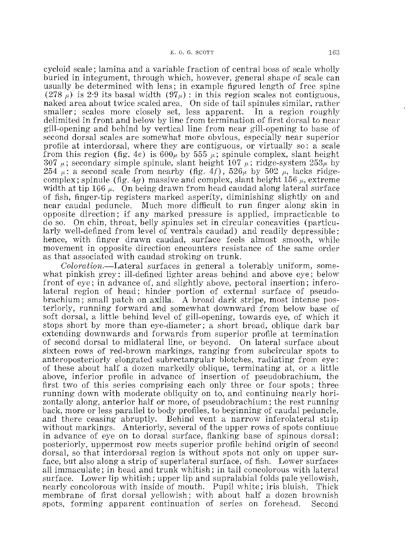cycloid Beale; lamina and a variable fraction of central boss of scale wholly buried in integument, through which, however, general shape of scale can usually be determined with lens; in example figured length of free spine (278  $\mu$ ) is 2.9 its basal width (97 $\mu$ ) : in this region scales not contiguous, naked area about twice scaled area. On side of tail spinules similar, rather smaller; scales more closely set, less apparent. In a region roughly delimited in front and below by line from termination of first dorsal to near gill-opening and behind by vertical line from near gill-opening to base of second dorsal scales are somewhat more obvious, especially near superior profile at interdorsal, where they are contiguous, or virtually so: a scale from this region (fig. 4e) is  $600\mu$  by 555  $\mu$ ; spinule complex, slant height 307  $\mu$ ; secondary simple spinule, slant height 107  $\mu$ ; ridge-system 253 $\mu$  by  $254 \mu$ : a second scale from nearby (fig. 4f),  $526\mu$  by  $502 \mu$ , lacks ridgecomplex; spinule (fig. 4g) massive and complex, slant height 156  $\mu$ , extreme width at tip 166  $\mu$ . On being drawn from head caudad along lateral surface of fish, finger-tip registers marked asperity, diminishing slightly on and near caudal peduncle. Much more difficult to run finger along skin in opposite direction; if any marked pressure is applied, impracticable to do so. On chin, throat, belly spinules set in circular concavities (particularly well-defined from level of ventrals caudad) and readily depressible: hence, with finger drawn caudad, surface feels almost smooth, while movement in opposite direction encounters resistance of the same order as that associated with caudad stroking on trunk.

 $Coloration. -\text{Lateral surfaces}$  in general a tolerably uniform, somewhat pinkish grey: ill-defined lighter areas behind and above eye; below front of eye; in advance of, and slightly above, pectoral insertion; inferolateral region of head; hinder portion of external surface of pseudobrachium; small patch on axilla. A broad dark stripe, most intense posteriorly, running forward and somewhat downward from below base of soft dorsal, a little behind level of gill-opening, towards eye, of which it stops short by more than eye-diameter; a short broad, oblique dark bar extending downwards and forwards from superior profile at termination of second dorsal to midlateral line, or beyond. On lateral surface about sixteen rows of red-brown markings, ranging from subcircular spots to anteroposteriorly elongated subrectangular blotches, radiating from eye: of these about half a dozen markedly oblique, terminating at, or a little above, inferior profile in advance of insertion of pseudobrachium, the first two of this series comprising each only three or four spots; three running down with moderate obliquity on to, and continuing nearly horizontally along, anterior half or more, of pseudobrachium; the rest running back, more or less parallel to body profiles, to beginning of caudal peduncle, and there ceasing abruptly. Behind vent a narrow inferolateral strip without markings. Anteriorly, several of the upper rows of spots continue in advance of eye on to dorsal surface, flanking base of spinous dorsal; posteriorly, uppermost row meets superior profile behind origin of second dorsal, so that interdorsal region is without spots not only on upper surface, but also along a strip of superlateral surface, of fish. Lower surfaces all immaculate; in head and trunk whitish; in tail concolorous with lateral surface. Lower lip whitish; upper lip and supralabial folds pale yellowish, nearly concolorous with inside of mouth. Pupil white; iris bluish. Thick membrane of first dorsal yellowish; with about half a dozen brownish spots, forming apparent continuation of series on forehead. Second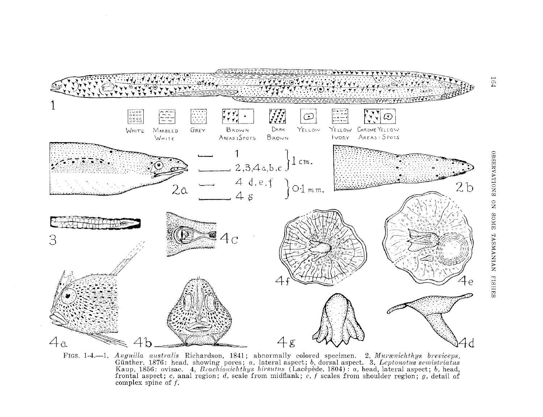

FIGS. 1-4.--1, *Anguilla australis* Richardson, 1841; abnormally colored specimen. 2, *Murænichthys breviceps*, Günther, 1876: head, showing pores; *a*, lateral aspect; *b*, dorsal aspect. 3, *Leptonotus semistriatus* Kaup, 1856: ovisac. 4, *Brachionichthys hirsutus* (Lacépède, 1804): *a*, head, lateral aspect; *b*, head, frontal aspect; *c*, anal region; *d*, scale from midflank; *e*, *f* scales from shoulder region; *g*, detail of complex spine of f.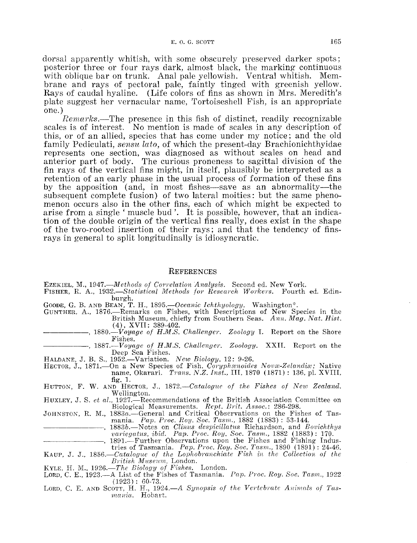dorsal apparently whitish, with some obscurely preserved darker spots; posterior three or four rays dark, almost black, the marking continuous with oblique bar on trunk. Anal pale yellowish. Ventral whitish. Membrane and rays of pectoral pale, faintly tinged with greenish yellow. Rays of caudal hyaline. (Life colors of fins as shown in Mrs. Meredith's plate suggest her vernacular name, Tortoiseshell Fish, is an appropriate one.)

*Rernarks.·-The* presence in this fish of distinct, readily recognizable scales is of interest. No mention is made of scales in any description of this, or of an allied, species that has come under my notice; and the old family Pediculati, *sensu lato,* of which the present-day Brachionichthyidae represents one section, was diagnosed as without scales on bead and anterior part of body. The curious proneness to sagittal division of the fin rays of the vertical fins might, in itself, plausibly be interpreted as a retention of an early phase in the usual process of formation of these fins by the apposition (and, in most fishes—save as an abnormality—the subsequent complete fusion) of two lateral moities: but the same phenomenon occurs also in the other fins, each of which might be expected to arise from a single 'muscle bud'. It is possible, however, that an indication of the double origin of the vertical fins really, does exist in the shape of the two-rooted insertion of their rays; and that the tendency of finsrays in general to split longitudinally is idiosyncratic.

#### **REFERENCES**

EZEKIEL, M., 1947.—*Methods of Correlation Analysis*. Second ed. New York.

FISHER, R. A., *1932.--Statistical Methods for Research Workers.* Fourth ed. Edinburgh.

GOODE, G. B. AND BEAN, T. H., 1895. - Oceanic Ichthyology. Washington\*.

- GUNTHER, A., 1876.—Remarks on Fishes, with Descriptions of New Species in the British Museum, chiefly from Southern Seas. Ann. Mag. Nat. Hist.
- (4), XVII: 389-402.<br>-, 1880.-*Voyage of H.M.S. Challenger. Zoology* I. Report on the Shore<br>Fishes.
- Fishes. ------ *1887.-Voyage of H.M.S. Challenger. Zoology.* XXII. Report on the Deep Sea Fishes.
- HALDANE, J. B. S., 1952.—Variation. *New Biology*, 12: 9-26.
- HECTOR, J., 1871.—On a New Species of Fish, *Coryphænoides Novæ-Zelandiæ;* Native name, Okarari. *Trans. N.Z. Inst.*, III, 1870 (1871) : 136, pl. XVIII, fig. 1.
- HUTTON, F. W. AND HECTOR, J., 1872.--Catalogue of the Fishes of New Zealand. Wellington.
- HUXLEY, J. S. *et al.*, 1927.—Recommendations of the British Association Committee on Biological Measurements. *Rept. Brit. Assoc.*: 286-298.
- JOHNSTON, R. M., 1883a.—General and Critical Observations on the Fishes of Tas-<br>mania. Pap. Proc. Roy. Soc. Tasm., 1882 (1883): 53-144.<br>1883b.—Notes on Clinus despicillatus Richardson, and Bovichthys<br>variegatus, ibid. Pap.
	-
- 1891.-Further Observations upon the Fishes and Fishing Industries of Tasmania. *Pap. Proc. Roy. Soc. Tasm.*, 1890 (1891): 24-46. KAUP, J. J., 1856.—*Catalogue of the Lophobranchiate Fish in the Collection of the*
- $British$  *Museum.* London.

- KYLE, H. M., 1926.—*The Biology of Fishes*. London.<br>LORD, C. E., 1923.—A List of the Fishes of Tasmania. *Pap. Proc. Roy. Soc. Tasm.*, 1922  $(1923): 60-73.$
- LORD, C. E. AND SCOTT, H. H., 1924.—A Synopsis of the Vertebrate Animals of Tas*mania.* Hobart.